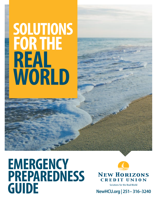# FOR THE REAL WORLD SOLUTIONS

### **EMERGENCY** PREPAREDNESS Solutions for the Real World<br>
NewHCU.org | 251–316–3240

**NEW HORIZONS CREDIT UNION**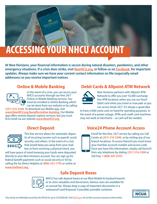# ACCESSING YOUR NHCU ACCOUNT

At New Horizons, your financial information is secure during natural disasters, pandemics, and other emergency situations. If a crisis does strike, visit [NewHCU.org](https://www.newhcu.org/), or follow us on **Facebook** for important updates. Always make sure we have your current contact information on file (especially email addresses) so you receive important notices.

### Online & Mobile Banking



In the event of a crisis, you can access your NHCU accounts through our free 24/7 Online or Mobile Banking services. You must be enrolled in Online Banking which can be done from our website or by calling

(251) 316-3240. To download our Mobile app, visit [www.NewHCU.org/benefits/online-banking](https://www.newhcu.org/benefits/online-banking). Our Mobile app offers remote deposit capture services, but you must first enroll via our website **[www.NewHCU.org](http://www.NewHCU.org).** 

### Direct Deposit



This free service allows for automatic deposits of recurring income such as payroll, social security, and others. In the event of a crisis that would keep you away from your mailbox or from receiving a physical check, you

will have peace of mind knowing your funds were deposited directly to your New Horizons account. You can sign up for federal benefit payments such as social security or SSI by calling the Go Direct Helpline at (800) 333-1795 or online at [www.GoDirect.org.](http://www.GoDirect.org)

### Debit Cards & Allpoint ATM Network



New Horizons partners with Allpoint ATM Network to offer you over 55,000 surcharge free ATM locations when you use our Visa© Debit card when you travel or evacuate so you can access funds 24/7. It's always a good idea

to have a little extra cash on hand for spending purposes. In the event of a power outage, ATMs and credit card machines may not work at merchants – so cash will be needed.

### Voice24 Phone Account Access



Enroll for this free, 24/7 service by calling our Call Center at (251) 316-3240, or by visiting any of our branch locations. To access Voice24 you must know your member account number and access code. Once you have this information, simply call Voice24 from any telephone by dialing (251) 316-3268 or Toll Free 1 (800) 447-6707.

### Safe Deposit Boxes



NHCU has safe deposit boxes at our West Mobile & Saraland branches to store valuables and documents. Various sizes are available for an annual fee. Always keep a copy of important documents in a waterproof (and fireproof, if possible) portable container.

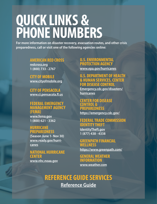# QUICK LINKS & PHONE NUMBERS

For more information on disaster recovery, evacuation routes, and other crisis preparedness, call or visit one of the following agencies online:

### AMERICAN RED CROSS

[redcross.org](https://www.redcross.org/) 1 (800) 733 - 2767

CITY OF MOBILE [www.cityofmobile.org](https://www.cityofmobile.org/)

CITY OF PENSACOLA [www.ci.pensacola.fl.us](https://www.cityofpensacola.com/)

### FEDERAL EMERGENCY MANAGEMENT AGENCY (FEMA)

[www.fema.gov](https://www.fema.gov/) 1 (800) 621 - 3362

### **HURRICANE PREPAREDNESS**

(Season June 1- Nov 30) [www.ready.gov/hurri](https://www.ready.gov/hurricanes)[canes](https://www.ready.gov/hurricanes)

### NATIONAL HURRICANE CENTER

[www.nhc.noaa.gov](https://www.nhc.noaa.gov/)

### U.S. ENVIRONMENTAL PROTECTION AGENCY

[www.epa.gov/hurricanes](https://www.epa.gov/)

### U.S. DEPARTMENT OF HEALTH & HUMAN SERVICES, CENTER FOR DISEASE CONTROL

[Emergency.cdc.gov/disasters/](https://www.cdc.gov/disasters/hurricanes/index.html) [hurricanes](https://www.cdc.gov/disasters/hurricanes/index.html)

### CENTER FOR DISEASE CONTROL & **PREPAREDNESS**

https://emergency.cdc.gov/

### FEDERAL TRADE COMMISSION IDENTITY THEFT

[IdentityTheft.gov](https://www.consumer.ftc.gov/features/feature-0014-identity-theft) 1 (877) 438 - 4338

### GREENPATH FINANCIAL WELLNESS

<https://www.greenpath.com/>

### GENERAL WEATHER INFORMATION www.[weather.com](https://weather.com/)

### REFERENCE GUIDE SERVICES

[Reference Guide](https://www.newhcu.org/appointments)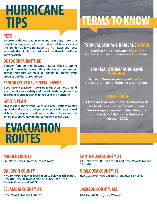# **HURRICANE**<br>TIPS

### **PETS**

If you're in the evacuation zone and own pets, make sure to make arrangements for them ahead of time as many shelters don't allow pets inside. DO NOT leave your pets outside in the middle of a hurricane. Bring them inside if you don't evacuate.

### OUTDOOR FURNITURE

Outdoor furniture can become hazards when a strong tropical storm or hurricane rolls by. Make sure to secure your outdoor furniture or move it indoors to protect your property and those around you.

### SENIOR CITIZENS / SPECIAL NEEDS

If you have to evacuate, make sure to check on those around you, specially your elderly and special needs neighbors. It is important to stick together in the event of a hurricane.

### HAVE A PLAN

Always check the weather apps and news stations to stay updated. Make sure to get your emergency kit ready ahead of time. If you plan to ride out the storm, be aware that emergency crews may not get to you for several days.

### **EVACUATION** ROUTES

### MOBILE COUNTY

I-65 North, Hwy 43 North & Hwy 45 North.

### BALDWIN COUNTY

Hwy 59 North, Baldwin Beach Express, Foley Beach Express, Hwy 181, Hwy 98, Hwy 31 North, County Road 87 to Baldwin County, and I-65 North.

### ESCAMBIA COUNTY, FL

# TERMS TO KNOW

### TROPICAL STORM/ HURRICANE WATCH

Issued 48 hours in advance of *possible* tropical storm or hurricane force conditions.

### TROPICAL STORM/ HURRICANE WARNING

Issued 36 hours in advance of *expected* tropical storm or hurricane force conditions.

### STORM SURGE

A large mass of water that rises above mean sea level by as much as 10 feet or more. Storm surge can exceed 25 feet along the Gulf Coast, as it did during Hurricane Katrina in 2005.

### SANTA ROSA COUNTY, FL

I-110 North to I-10, SR87 to I-10 and Hwy 29 North to Hwy 31 North.

### OKALOOSA COUNTY, FL

Hwy 293 North, Hwy 285 North, and Hwy 85 North.

### JACKSON COUNTY, MS

Hwy 29 North to Hwy 31 North. In the same state of the Hay 1-10, Hwy 63 North, Hwy 57 North.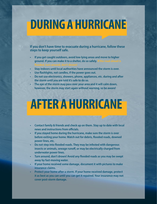### DURING A HURRICANE

If you don't have time to evacuate during a hurricane, follow these steps to keep yourself safe.

- If you get caught outdoors, avoid low-lying areas and move to higher ground. If you can make it to a shelter, do so safely.
- Stay indoors until local authorities have announced the storm is over.
- Use flashlights, not candles, if the power goes out.
- Do not use electronics, showers, phone, appliances, etc. during and after the storm until you are told it's safe to do so.
- The eye of the storm may pass over your area and it will calm down, however, the storm may start again without warning, so be aware!

# AFTER A HURRICANE

- Contact family & friends and check up on them. Stay up to date with local news and instructions from officials.
- If you stayed home during the hurricane, make sure the storm is over before exiting your home. Watch out for debris, flooded roads, downed power lines, etc.
- Do not step into flooded roads. They may be infested with dangerous insects or animals, sewage runoff, or may be electrically charged from underwater power lines.
- Turn around, don't drown! Avoid any flooded roads as you may be swept away by fast-moving water.
- If your home received some damage, document it with pictures to make insurance claims.
- Protect your home after a storm. If your home received damage, protect it as best as you can until you can get it repaired. Your insurance may not cover post-storm damage.